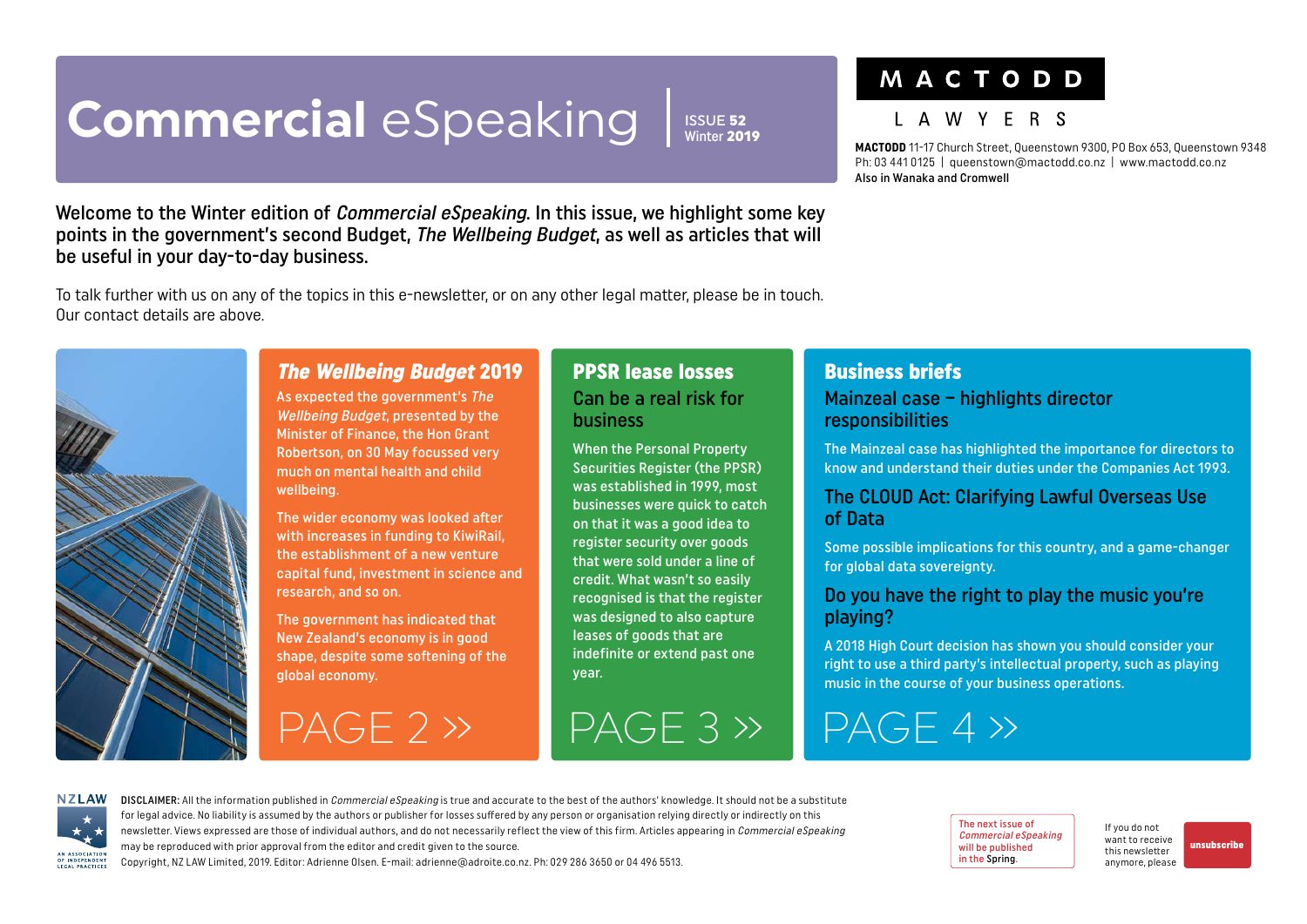# <span id="page-0-0"></span>**Commercial** eSpeaking

ISSUE 52 Winter 2019

### MACTODD

### I A W Y F R S

**MACTODD** 11-17 Church Street, Queenstown 9300, PO Box 653, Queenstown 9348 Ph: 03 441 0125 | queenstown@mactodd.co.nz | www.mactodd.co.nz Also in Wanaka and Cromwell

Welcome to the Winter edition of *Commercial eSpeaking*. In this issue, we highlight some key points in the government's second Budget, The Wellbeing Budget, as well as articles that will be useful in your day-to-day business.

To talk further with us on any of the topics in this e-newsletter, or on any other legal matter, please be in touch. Our contact details are above.



### The Wellbeing Budget 2019

As expected the government's The Wellbeing Budget, presented by the Minister of Finance, the Hon Grant Robertson, on 30 May focussed very much on mental health and child wellbeing.

The wider economy was looked after with increases in funding to KiwiRail, the establishment of a new venture capital fund, investment in science and research, and so on.

The government has indicated that New Zealand's economy is in good shape, despite some softening of the global economy.

 $PAGE 2 > 1$   $PAGE 3 > 1$   $PAGE 4 > 1$ 

#### PPSR lease losses Can be a real risk for business

When the Personal Property Securities Register (the PPSR) was established in 1999, most businesses were quick to catch on that it was a good idea to register security over goods that were sold under a line of credit. What wasn't so easily recognised is that the register was designed to also capture leases of goods that are indefinite or extend past one year.

## Business briefs

#### Mainzeal case – highlights director responsibilities

The Mainzeal case has highlighted the importance for directors to know and understand their duties under the Companies Act 1993.

#### The CLOUD Act: Clarifying Lawful Overseas Use of Data

Some possible implications for this country, and a game-changer for global data sovereignty.

#### Do you have the right to play the music you're playing?

A 2018 High Court decision has shown you should consider your right to use a third party's intellectual property, such as playing music in the course of your business operations.

**NZLAW** AN ASSOCIATION OF INDEPENDENT

DISCLAIMER: All the information published in *Commercial eSpeaking* is true and accurate to the best of the authors' knowledge. It should not be a substitute for legal advice. No liability is assumed by the authors or publisher for losses suffered by any person or organisation relying directly or indirectly on this newsletter. Views expressed are those of individual authors, and do not necessarily reflect the view of this firm. Articles appearing in Commercial eSpeaking may be reproduced with prior approval from the editor and credit given to the source. Copyright, NZ LAW Limited, 2019. Editor: Adrienne Olsen. [E-mail: adrienne@adroite.co.nz](mailto:adrienne@adroite.co.nz). Ph: 029 286 3650 or 04 496 5513.

The next issue of Commercial eSpeaking will be published in the Spring.

If you do not want to receive this newsletter anymore, please [unsubscribe](mailto:adrienne%40adroite.co.nz?subject=Commercial%20eSpeaking%20-%20unsubscribe%20me%20please)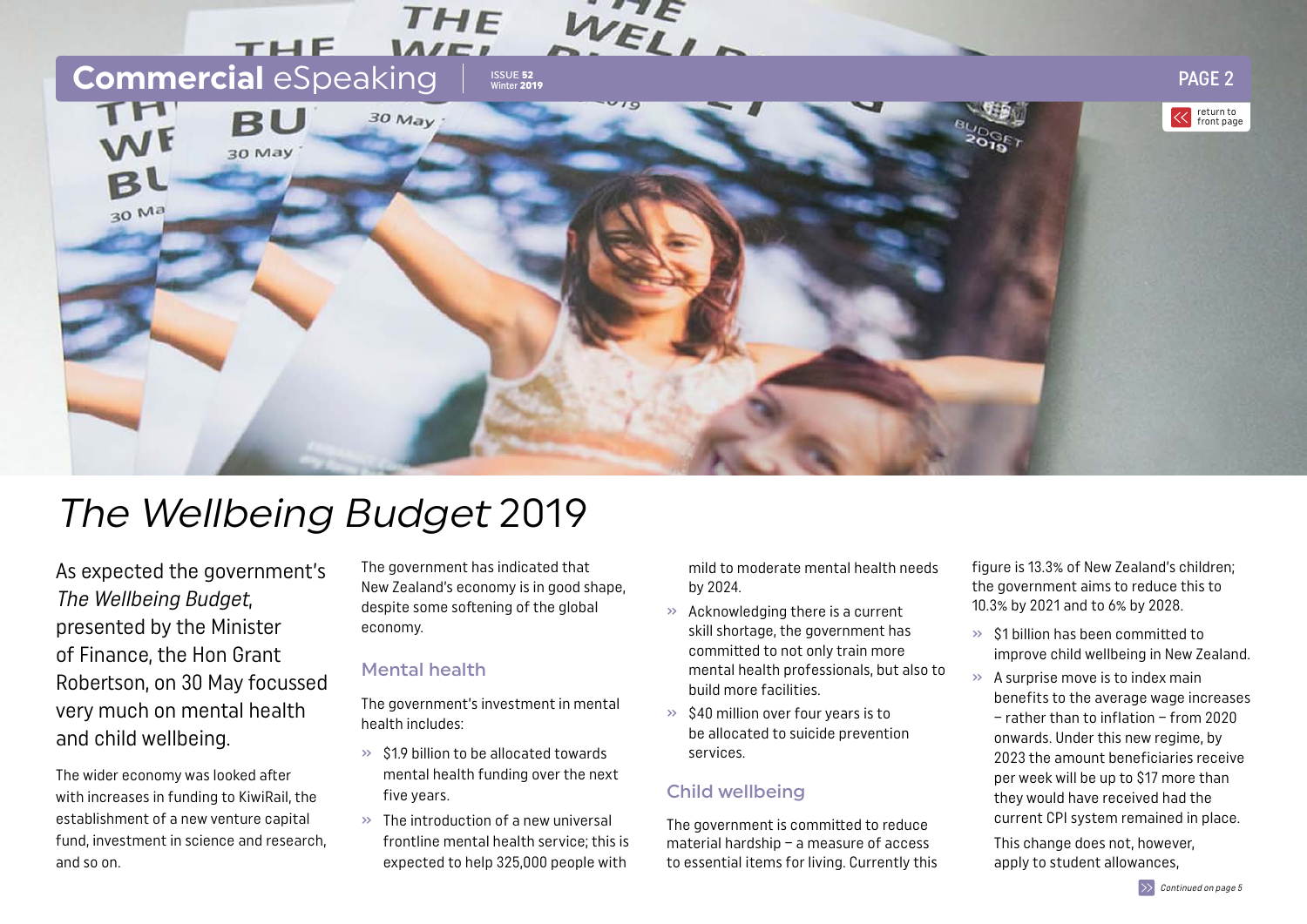<span id="page-1-0"></span>

# The Wellbeing Budget 2019

As expected the government's The Wellbeing Budget, presented by the Minister of Finance, the Hon Grant Robertson, on 30 May focussed very much on mental health and child wellbeing.

The wider economy was looked after with increases in funding to KiwiRail, the establishment of a new venture capital fund, investment in science and research, and so on.

The government has indicated that New Zealand's economy is in good shape, despite some softening of the global economy.

#### Mental health

The government's investment in mental health includes:

- $\gg$  \$1.9 billion to be allocated towards mental health funding over the next five years.
- » The introduction of a new universal frontline mental health service; this is expected to help 325,000 people with

mild to moderate mental health needs by 2024.

- » Acknowledging there is a current skill shortage, the government has committed to not only train more mental health professionals, but also to build more facilities.
- $\gg$  \$40 million over four years is to be allocated to suicide prevention services.

#### Child wellbeing

The government is committed to reduce material hardship – a measure of access to essential items for living. Currently this figure is 13.3% of New Zealand's children; the government aims to reduce this to 10.3% by 2021 and to 6% by 2028.

- » \$1 billion has been committed to improve child wellbeing in New Zealand.
- $\rightarrow$  A surprise move is to index main benefits to the average wage increases – rather than to inflation – from 2020 onwards. Under this new regime, by 2023 the amount beneficiaries receive per week will be up to \$17 more than they would have received had the current CPI system remained in place.

This change does not, however, apply to student allowances,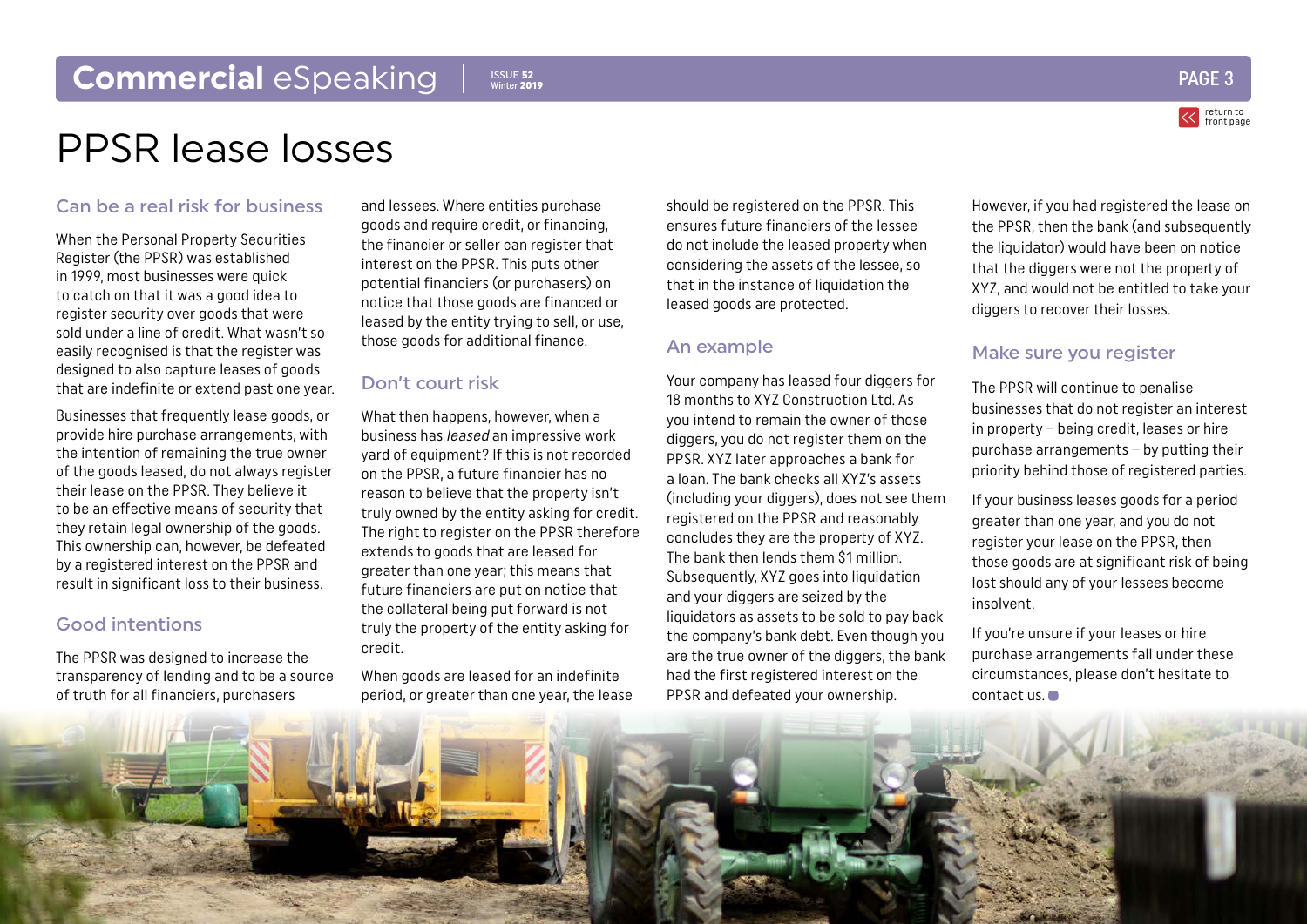### <span id="page-2-0"></span>**Commercial** eSpeaking

**ISSUE 52**<br>Winter 2019



### PPSR lease losses

#### Can be a real risk for business

When the Personal Property Securities Register (the PPSR) was established in 1999, most businesses were quick to catch on that it was a good idea to register security over goods that were sold under a line of credit. What wasn't so easily recognised is that the register was designed to also capture leases of goods that are indefinite or extend past one year.

Businesses that frequently lease goods, or provide hire purchase arrangements, with the intention of remaining the true owner of the goods leased, do not always register their lease on the PPSR. They believe it to be an effective means of security that they retain legal ownership of the goods. This ownership can, however, be defeated by a registered interest on the PPSR and result in significant loss to their business.

#### Good intentions

The PPSR was designed to increase the transparency of lending and to be a source of truth for all financiers, purchasers

and lessees. Where entities purchase goods and require credit, or financing, the financier or seller can register that interest on the PPSR. This puts other potential financiers (or purchasers) on notice that those goods are financed or leased by the entity trying to sell, or use, those goods for additional finance.

#### Don't court risk

What then happens, however, when a business has leased an impressive work yard of equipment? If this is not recorded on the PPSR, a future financier has no reason to believe that the property isn't truly owned by the entity asking for credit. The right to register on the PPSR therefore extends to goods that are leased for greater than one year; this means that future financiers are put on notice that the collateral being put forward is not truly the property of the entity asking for credit.

When goods are leased for an indefinite period, or greater than one year, the lease

should be registered on the PPSR. This ensures future financiers of the lessee do not include the leased property when considering the assets of the lessee, so that in the instance of liquidation the leased goods are protected.

#### An example

Your company has leased four diggers for 18 months to XYZ Construction Ltd. As you intend to remain the owner of those diggers, you do not register them on the PPSR. XYZ later approaches a bank for a loan. The bank checks all XYZ's assets (including your diggers), does not see them registered on the PPSR and reasonably concludes they are the property of XYZ. The bank then lends them \$1 million. Subsequently, XYZ goes into liquidation and your diggers are seized by the liquidators as assets to be sold to pay back the company's bank debt. Even though you are the true owner of the diggers, the bank had the first registered interest on the PPSR and defeated your ownership.

However, if you had registered the lease on the PPSR, then the bank (and subsequently the liquidator) would have been on notice that the diggers were not the property of XYZ, and would not be entitled to take your diggers to recover their losses.

#### Make sure you register

The PPSR will continue to penalise businesses that do not register an interest in property – being credit, leases or hire purchase arrangements – by putting their priority behind those of registered parties.

If your business leases goods for a period greater than one year, and you do not register your lease on the PPSR, then those goods are at significant risk of being lost should any of your lessees become insolvent.

If you're unsure if your leases or hire purchase arrangements fall under these circumstances, please don't hesitate to contact us.

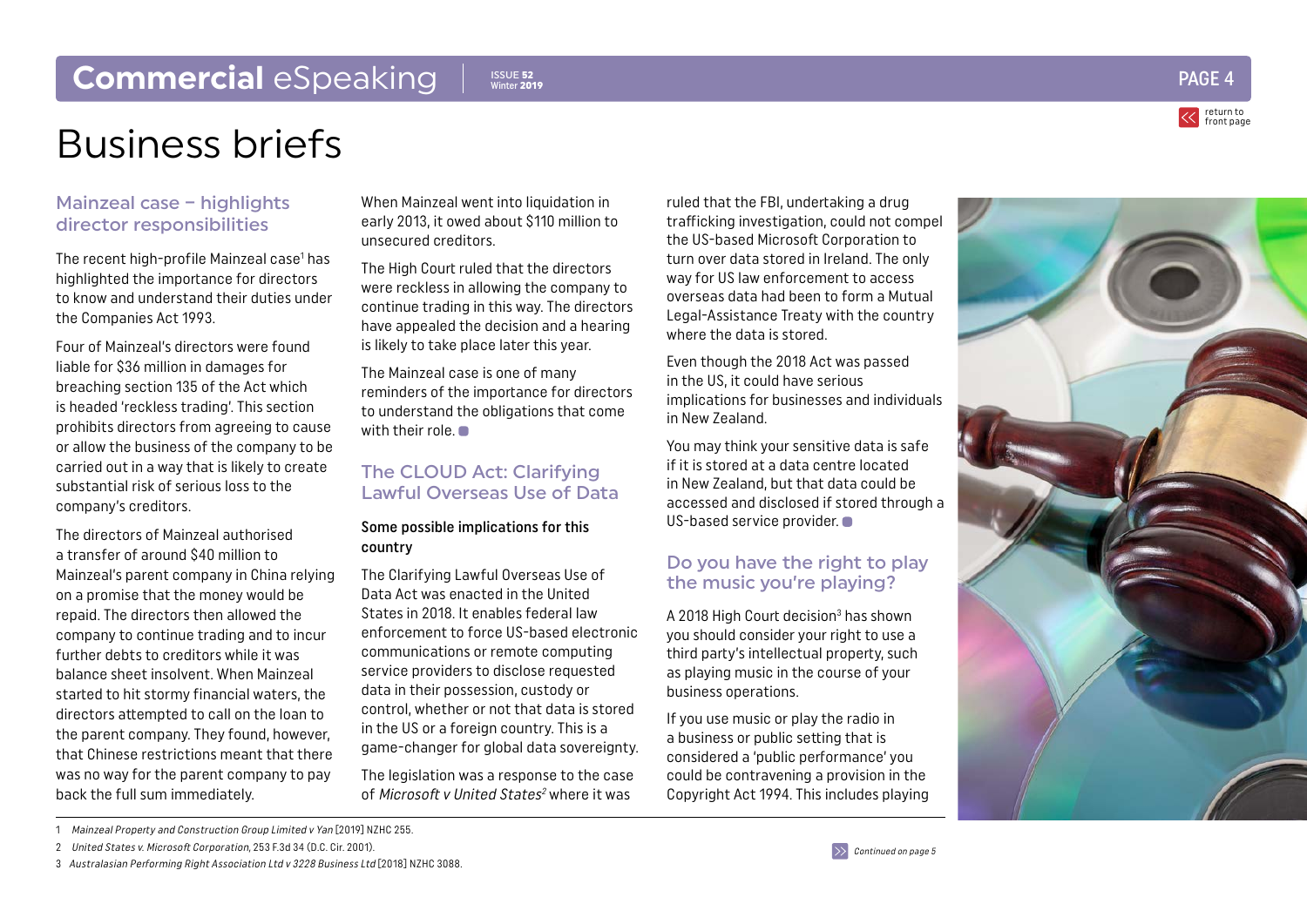

# <span id="page-3-0"></span>Business briefs

#### Mainzeal case – highlights director responsibilities

The recent high-profile Mainzeal case 1 has highlighted the importance for directors to know and understand their duties under the Companies Act 1993.

Four of Mainzeal's directors were found liable for \$36 million in damages for breaching section 135 of the Act which is headed 'reckless trading'. This section prohibits directors from agreeing to cause or allow the business of the company to be carried out in a way that is likely to create substantial risk of serious loss to the company's creditors.

The directors of Mainzeal authorised a transfer of around \$40 million to Mainzeal's parent company in China relying on a promise that the money would be repaid. The directors then allowed the company to continue trading and to incur further debts to creditors while it was balance sheet insolvent. When Mainzeal started to hit stormy financial waters, the directors attempted to call on the loan to the parent company. They found, however, that Chinese restrictions meant that there was no way for the parent company to pay back the full sum immediately.

When Mainzeal went into liquidation in early 2013, it owed about \$110 million to unsecured creditors.

The High Court ruled that the directors were reckless in allowing the company to continue trading in this way. The directors have appealed the decision and a hearing is likely to take place later this year.

The Mainzeal case is one of many reminders of the importance for directors to understand the obligations that come with their role.

#### The CLOUD Act: Clarifying Lawful Overseas Use of Data

#### Some possible implications for this country

The Clarifying Lawful Overseas Use of Data Act was enacted in the United States in 2018. It enables federal law enforcement to force US-based electronic communications or remote computing service providers to disclose requested data in their possession, custody or control, whether or not that data is stored in the US or a foreign country. This is a game-changer for global data sovereignty.

The legislation was a response to the case of Microsoft v United States<sup>2</sup> where it was

ruled that the FBI, undertaking a drug trafficking investigation, could not compel the US-based Microsoft Corporation to turn over data stored in Ireland. The only way for US law enforcement to access overseas data had been to form a Mutual Legal-Assistance Treaty with the country where the data is stored.

Even though the 2018 Act was passed in the US, it could have serious implications for businesses and individuals in New Zealand.

You may think your sensitive data is safe if it is stored at a data centre located in New Zealand, but that data could be accessed and disclosed if stored through a US-based service provider.

#### Do you have the right to play the music you're playing?

A 2018 High Court decision<sup>3</sup> has shown you should consider your right to use a third party's intellectual property, such as playing music in the course of your business operations.

If you use music or play the radio in a business or public setting that is considered a 'public performance' you could be contravening a provision in the Copyright Act 1994. This includes playing



2 United States v. Microsoft Corporation, 253 F.3d 34 (D.C. Cir. 2001).



<sup>1</sup> Mainzeal Property and Construction Group Limited v Yan [2019] NZHC 255.